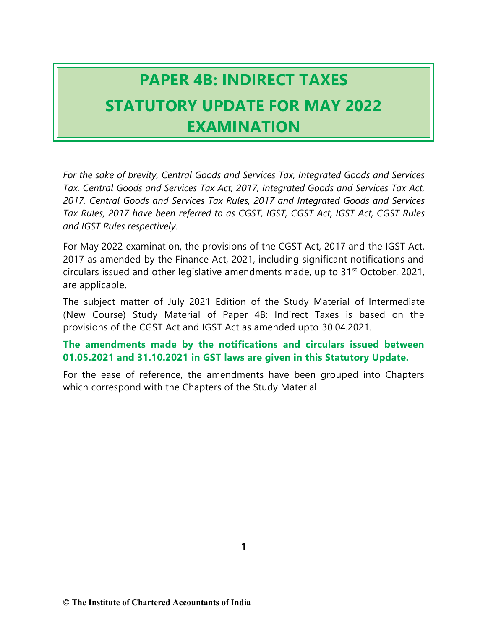## **PAPER 4B: INDIRECT TAXES STATUTORY UPDATE FOR MAY 2022 EXAMINATION**

*For the sake of brevity, Central Goods and Services Tax, Integrated Goods and Services Tax, Central Goods and Services Tax Act, 2017, Integrated Goods and Services Tax Act, 2017, Central Goods and Services Tax Rules, 2017 and Integrated Goods and Services Tax Rules, 2017 have been referred to as CGST, IGST, CGST Act, IGST Act, CGST Rules and IGST Rules respectively.*

For May 2022 examination, the provisions of the CGST Act, 2017 and the IGST Act, 2017 as amended by the Finance Act, 2021, including significant notifications and circulars issued and other legislative amendments made, up to  $31<sup>st</sup>$  October, 2021, are applicable.

The subject matter of July 2021 Edition of the Study Material of Intermediate (New Course) Study Material of Paper 4B: Indirect Taxes is based on the provisions of the CGST Act and IGST Act as amended upto 30.04.2021.

#### **The amendments made by the notifications and circulars issued between 01.05.2021 and 31.10.2021 in GST laws are given in this Statutory Update.**

For the ease of reference, the amendments have been grouped into Chapters which correspond with the Chapters of the Study Material.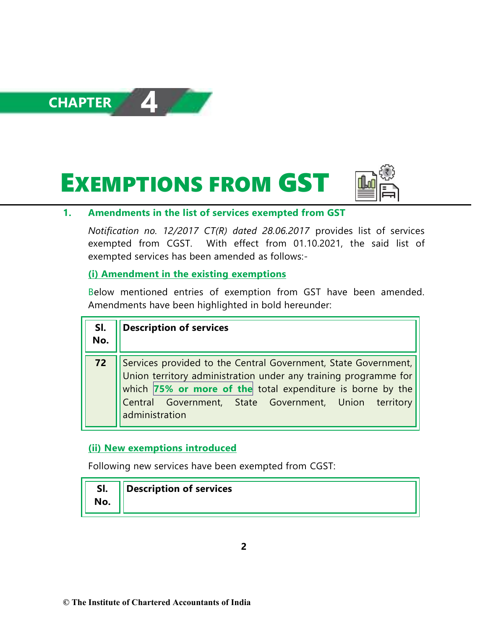





#### **1. Amendments in the list of services exempted from GST**

*Notification no. 12/2017 CT(R) dated 28.06.2017* provides list of services exempted from CGST. With effect from 01.10.2021, the said list of exempted services has been amended as follows:-

#### **(i) Amendment in the existing exemptions**

 Below mentioned entries of exemption from GST have been amended. Amendments have been highlighted in bold hereunder:

| SI.<br>No. | <b>Description of services</b>                                                                                                                                                                                                                                                          |
|------------|-----------------------------------------------------------------------------------------------------------------------------------------------------------------------------------------------------------------------------------------------------------------------------------------|
| 72         | Services provided to the Central Government, State Government,   <br> Union territory administration under any training programme for   <br>which $75\%$ or more of the total expenditure is borne by the<br>Government, State Government, Union territory<br>Central<br>administration |

#### **(ii) New exemptions introduced**

Following new services have been exempted from CGST:

| SI. | Description of services |
|-----|-------------------------|
| No. |                         |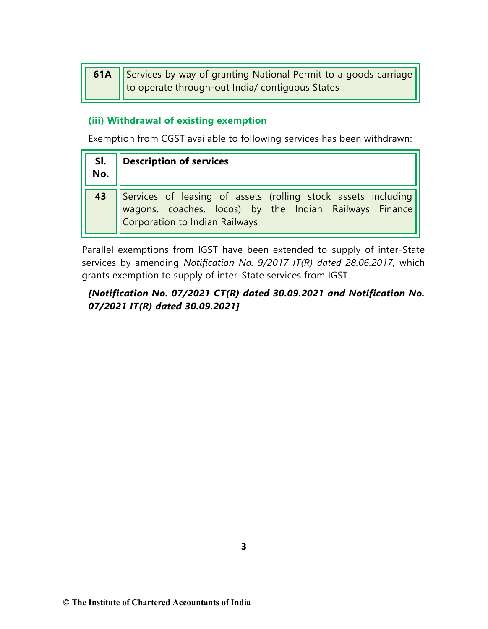| <b>61A</b> Services by way of granting National Permit to a goods carriage<br>   to operate through-out India/ contiguous States |
|----------------------------------------------------------------------------------------------------------------------------------|
|                                                                                                                                  |

#### **(iii) Withdrawal of existing exemption**

Exemption from CGST available to following services has been withdrawn:

| SI.<br>No. | Description of services                                                                                                                                   |
|------------|-----------------------------------------------------------------------------------------------------------------------------------------------------------|
| 43         | Services of leasing of assets (rolling stock assets including<br>wagons, coaches, locos) by the Indian Railways Finance<br>Corporation to Indian Railways |

Parallel exemptions from IGST have been extended to supply of inter-State services by amending *Notification No. 9/2017 IT(R) dated 28.06.2017,* which grants exemption to supply of inter-State services from IGST.

#### *[Notification No. 07/2021 CT(R) dated 30.09.2021 and Notification No. 07/2021 IT(R) dated 30.09.2021]*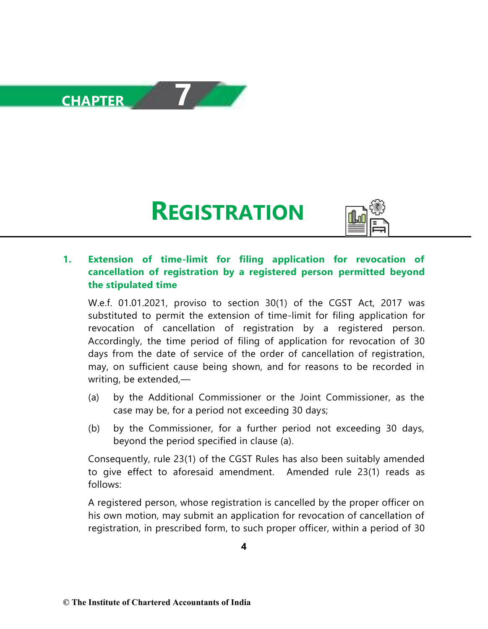

# **REGISTRATION**



#### **1. Extension of time-limit for filing application for revocation of cancellation of registration by a registered person permitted beyond the stipulated time**

W.e.f. 01.01.2021, proviso to section 30(1) of the CGST Act, 2017 was substituted to permit the extension of time-limit for filing application for revocation of cancellation of registration by a registered person. Accordingly, the time period of filing of application for revocation of 30 days from the date of service of the order of cancellation of registration, may, on sufficient cause being shown, and for reasons to be recorded in writing, be extended,—

- (a) by the Additional Commissioner or the Joint Commissioner, as the case may be, for a period not exceeding 30 days;
- (b) by the Commissioner, for a further period not exceeding 30 days, beyond the period specified in clause (a).

Consequently, rule 23(1) of the CGST Rules has also been suitably amended to give effect to aforesaid amendment. Amended rule 23(1) reads as follows:

A registered person, whose registration is cancelled by the proper officer on his own motion, may submit an application for revocation of cancellation of registration, in prescribed form, to such proper officer, within a period of 30

**4**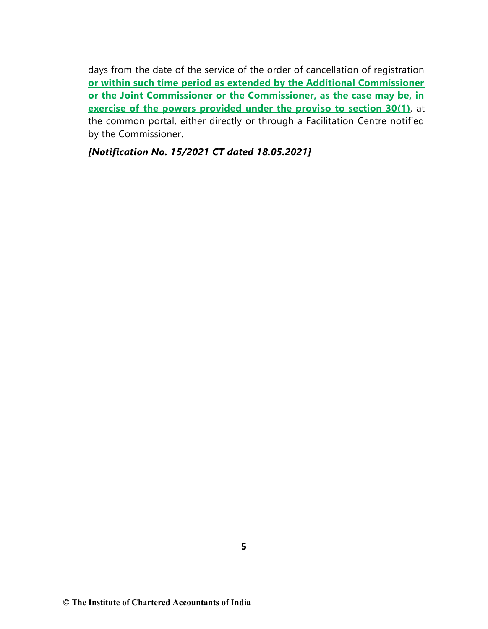days from the date of the service of the order of cancellation of registration **or within such time period as extended by the Additional Commissioner or the Joint Commissioner or the Commissioner, as the case may be, in exercise of the powers provided under the proviso to section 30(1)**, at the common portal, either directly or through a Facilitation Centre notified by the Commissioner.

*[Notification No. 15/2021 CT dated 18.05.2021]*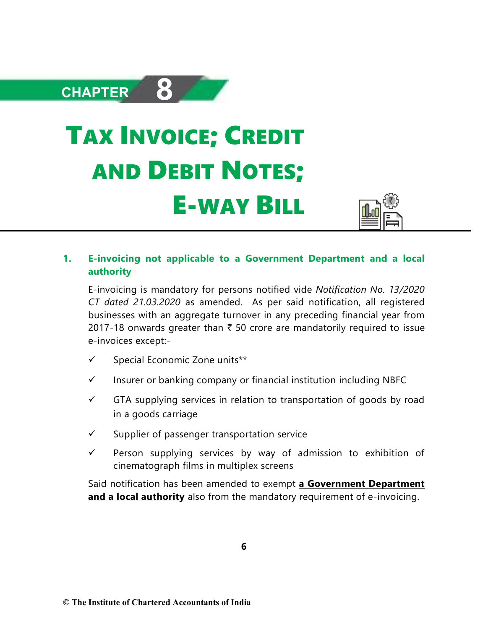

# TAX INVOICE; CREDIT AND DEBIT NOTES; E-WAY BILL



#### **1. E-invoicing not applicable to a Government Department and a local authority**

 E-invoicing is mandatory for persons notified vide *Notification No. 13/2020 CT dated 21.03.2020* as amended. As per said notification, all registered businesses with an aggregate turnover in any preceding financial year from 2017-18 onwards greater than  $\bar{\tau}$  50 crore are mandatorily required to issue e-invoices except:-

- ✓ Special Economic Zone units\*\*
- $\checkmark$  Insurer or banking company or financial institution including NBFC
- $\checkmark$  GTA supplying services in relation to transportation of goods by road in a goods carriage
- $\checkmark$  Supplier of passenger transportation service
- ✓ Person supplying services by way of admission to exhibition of cinematograph films in multiplex screens

Said notification has been amended to exempt **a Government Department and a local authority** also from the mandatory requirement of e-invoicing.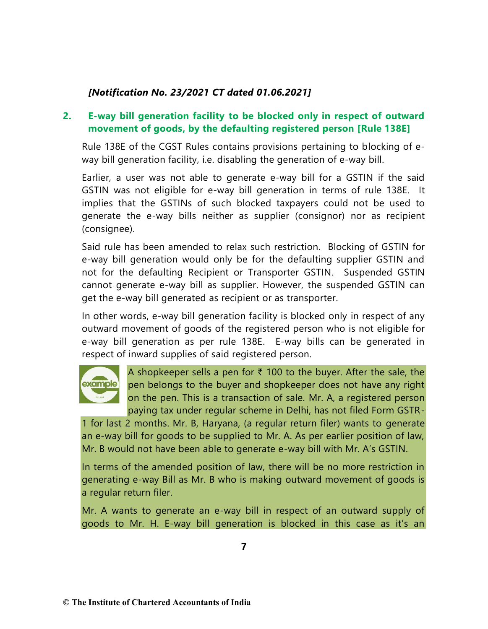#### *[Notification No. 23/2021 CT dated 01.06.2021]*

#### **2. E-way bill generation facility to be blocked only in respect of outward movement of goods, by the defaulting registered person [Rule 138E]**

Rule 138E of the CGST Rules contains provisions pertaining to blocking of eway bill generation facility, i.e. disabling the generation of e-way bill.

Earlier, a user was not able to generate e-way bill for a GSTIN if the said GSTIN was not eligible for e-way bill generation in terms of rule 138E. It implies that the GSTINs of such blocked taxpayers could not be used to generate the e-way bills neither as supplier (consignor) nor as recipient (consignee).

Said rule has been amended to relax such restriction. Blocking of GSTIN for e-way bill generation would only be for the defaulting supplier GSTIN and not for the defaulting Recipient or Transporter GSTIN. Suspended GSTIN cannot generate e-way bill as supplier. However, the suspended GSTIN can get the e-way bill generated as recipient or as transporter.

In other words, e-way bill generation facility is blocked only in respect of any outward movement of goods of the registered person who is not eligible for e-way bill generation as per rule 138E. E-way bills can be generated in respect of inward supplies of said registered person.



A shopkeeper sells a pen for  $\bar{\tau}$  100 to the buyer. After the sale, the pen belongs to the buyer and shopkeeper does not have any right on the pen. This is a transaction of sale. Mr. A, a registered person paying tax under regular scheme in Delhi, has not filed Form GSTR-

1 for last 2 months. Mr. B, Haryana, (a regular return filer) wants to generate an e-way bill for goods to be supplied to Mr. A. As per earlier position of law, Mr. B would not have been able to generate e-way bill with Mr. A's GSTIN.

In terms of the amended position of law, there will be no more restriction in generating e-way Bill as Mr. B who is making outward movement of goods is a regular return filer.

Mr. A wants to generate an e-way bill in respect of an outward supply of goods to Mr. H. E-way bill generation is blocked in this case as it's an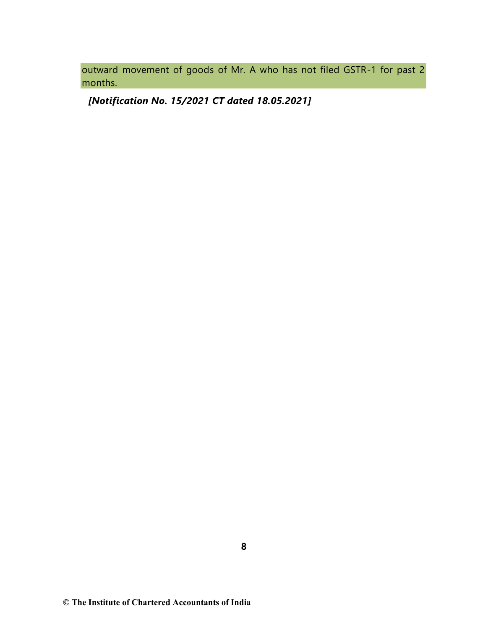outward movement of goods of Mr. A who has not filed GSTR-1 for past 2 months.

*[Notification No. 15/2021 CT dated 18.05.2021]*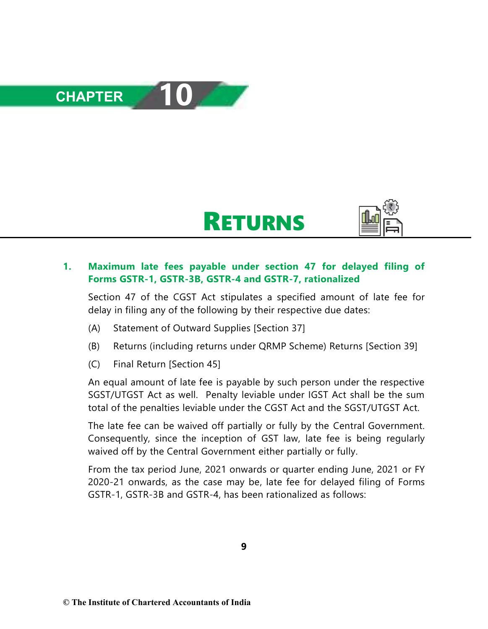





#### **1. Maximum late fees payable under section 47 for delayed filing of Forms GSTR-1, GSTR-3B, GSTR-4 and GSTR-7, rationalized**

Section 47 of the CGST Act stipulates a specified amount of late fee for delay in filing any of the following by their respective due dates:

- (A) Statement of Outward Supplies [Section 37]
- (B) Returns (including returns under QRMP Scheme) Returns [Section 39]
- (C) Final Return [Section 45]

An equal amount of late fee is payable by such person under the respective SGST/UTGST Act as well. Penalty leviable under IGST Act shall be the sum total of the penalties leviable under the CGST Act and the SGST/UTGST Act.

The late fee can be waived off partially or fully by the Central Government. Consequently, since the inception of GST law, late fee is being regularly waived off by the Central Government either partially or fully.

From the tax period June, 2021 onwards or quarter ending June, 2021 or FY 2020-21 onwards, as the case may be, late fee for delayed filing of Forms GSTR-1, GSTR-3B and GSTR-4, has been rationalized as follows: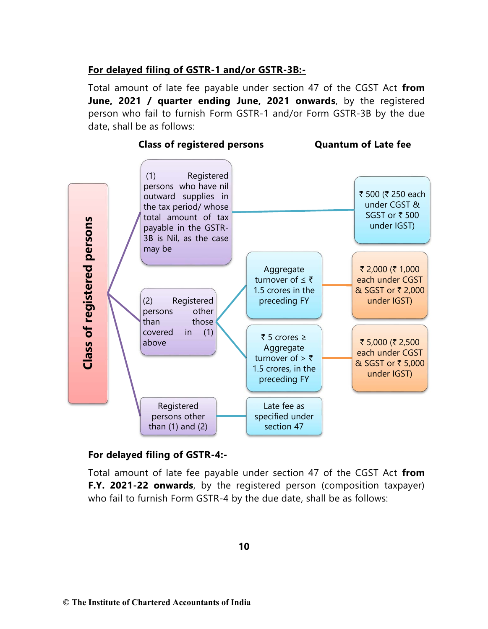#### **For delayed filing of GSTR-1 and/or GSTR-3B:-**

Total amount of late fee payable under section 47 of the CGST Act **from June, 2021 / quarter ending June, 2021 onwards**, by the registered person who fail to furnish Form GSTR-1 and/or Form GSTR-3B by the due date, shall be as follows:



#### **For delayed filing of GSTR-4:-**

Total amount of late fee payable under section 47 of the CGST Act **from F.Y. 2021-22 onwards**, by the registered person (composition taxpayer)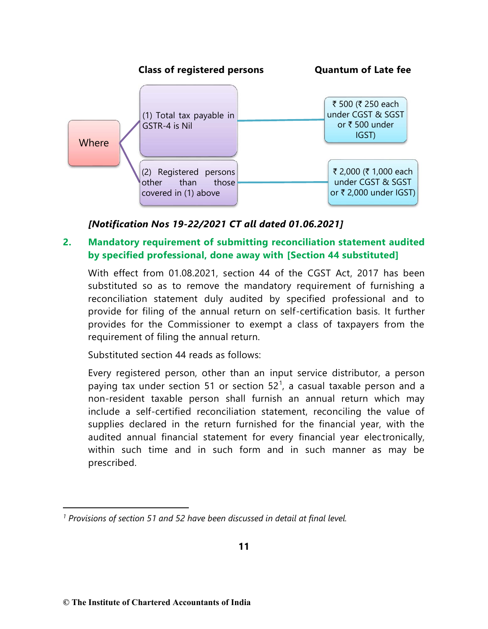

*[Notification Nos 19-22/2021 CT all dated 01.06.2021]*

#### **2. Mandatory requirement of submitting reconciliation statement audited by specified professional, done away with [Section 44 substituted]**

With effect from 01.08.2021, section 44 of the CGST Act, 2017 has been substituted so as to remove the mandatory requirement of furnishing a reconciliation statement duly audited by specified professional and to provide for filing of the annual return on self-certification basis. It further provides for the Commissioner to exempt a class of taxpayers from the requirement of filing the annual return.

Substituted section 44 reads as follows:

Every registered person, other than an input service distributor, a person paying tax under section 51 or section  $52^1$ , a casual taxable person and a non-resident taxable person shall furnish an annual return which may include a self-certified reconciliation statement, reconciling the value of supplies declared in the return furnished for the financial year, with the audited annual financial statement for every financial year electronically, within such time and in such form and in such manner as may be prescribed.

*<sup>1</sup> Provisions of section 51 and 52 have been discussed in detail at final level.*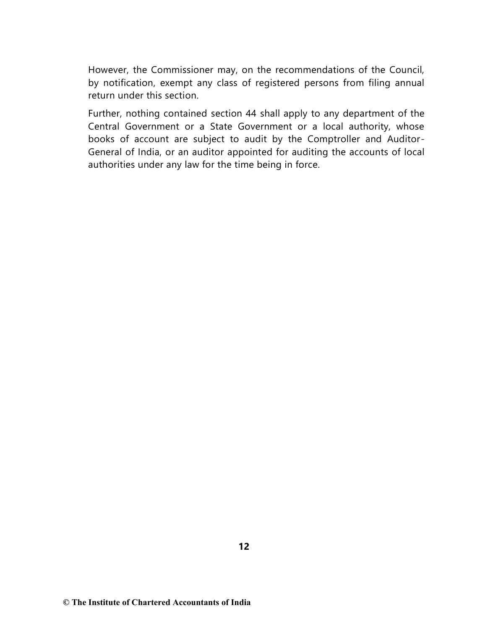However, the Commissioner may, on the recommendations of the Council, by notification, exempt any class of registered persons from filing annual return under this section.

Further, nothing contained section 44 shall apply to any department of the Central Government or a State Government or a local authority, whose books of account are subject to audit by the Comptroller and Auditor-General of India, or an auditor appointed for auditing the accounts of local authorities under any law for the time being in force.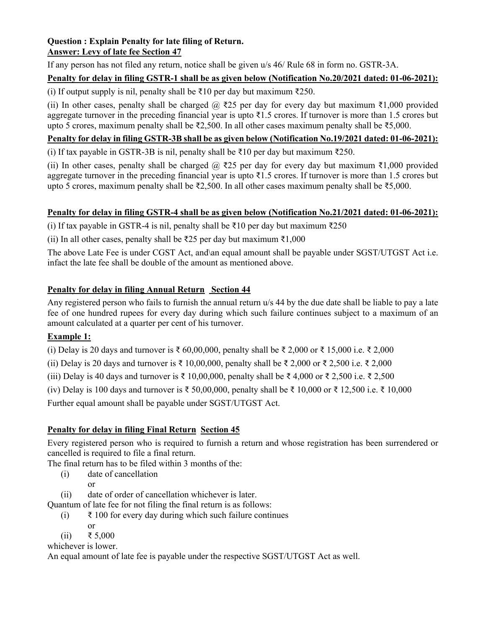#### **Question : Explain Penalty for late filing of Return. Answer: Levy of late fee Section 47**

If any person has not filed any return, notice shall be given u/s 46/ Rule 68 in form no. GSTR-3A.

#### **Penalty for delay in filing GSTR-1 shall be as given below (Notification No.20/2021 dated: 01-06-2021):**

(i) If output supply is nil, penalty shall be ₹10 per day but maximum ₹250.

(ii) In other cases, penalty shall be charged  $@$  ₹25 per day for every day but maximum ₹1,000 provided aggregate turnover in the preceding financial year is upto ₹1.5 crores. If turnover is more than 1.5 crores but upto 5 crores, maximum penalty shall be ₹2,500. In all other cases maximum penalty shall be ₹5,000.

#### **Penalty for delay in filing GSTR-3B shall be as given below (Notification No.19/2021 dated: 01-06-2021):**

(i) If tax payable in GSTR-3B is nil, penalty shall be ₹10 per day but maximum ₹250.

(ii) In other cases, penalty shall be charged @ ₹25 per day for every day but maximum ₹1,000 provided aggregate turnover in the preceding financial year is upto ₹1.5 crores. If turnover is more than 1.5 crores but upto 5 crores, maximum penalty shall be  $\overline{2}2,500$ . In all other cases maximum penalty shall be  $\overline{2}5,000$ .

#### **Penalty for delay in filing GSTR-4 shall be as given below (Notification No.21/2021 dated: 01-06-2021):**

(i) If tax payable in GSTR-4 is nil, penalty shall be  $\overline{\xi}10$  per day but maximum  $\overline{\xi}250$ 

(ii) In all other cases, penalty shall be ₹25 per day but maximum ₹1,000

The above Late Fee is under CGST Act, and\an equal amount shall be payable under SGST/UTGST Act i.e. infact the late fee shall be double of the amount as mentioned above.

#### **Penalty for delay in filing Annual Return Section 44**

Any registered person who fails to furnish the annual return u/s 44 by the due date shall be liable to pay a late fee of one hundred rupees for every day during which such failure continues subject to a maximum of an amount calculated at a quarter per cent of his turnover.

#### **Example 1:**

(i) Delay is 20 days and turnover is ₹ 60,00,000, penalty shall be ₹ 2,000 or ₹ 15,000 i.e. ₹ 2,000

(ii) Delay is 20 days and turnover is ₹ 10,00,000, penalty shall be ₹ 2,000 or ₹ 2,500 i.e. ₹ 2,000

(iii) Delay is 40 days and turnover is ₹ 10,00,000, penalty shall be ₹ 4,000 or ₹ 2,500 i.e. ₹ 2,500

(iv) Delay is 100 days and turnover is ₹ 50,00,000, penalty shall be ₹ 10,000 or ₹ 12,500 i.e. ₹ 10,000

Further equal amount shall be payable under SGST/UTGST Act.

#### **Penalty for delay in filing Final Return Section 45**

Every registered person who is required to furnish a return and whose registration has been surrendered or cancelled is required to file a final return.

The final return has to be filed within 3 months of the:

- (i) date of cancellation
	- or
- (ii) date of order of cancellation whichever is later.

Quantum of late fee for not filing the final return is as follows:

- (i)  $\bar{\tau}$  100 for every day during which such failure continues
	- or

 $(ii)$  ₹ 5,000 whichever is lower.

An equal amount of late fee is payable under the respective SGST/UTGST Act as well.